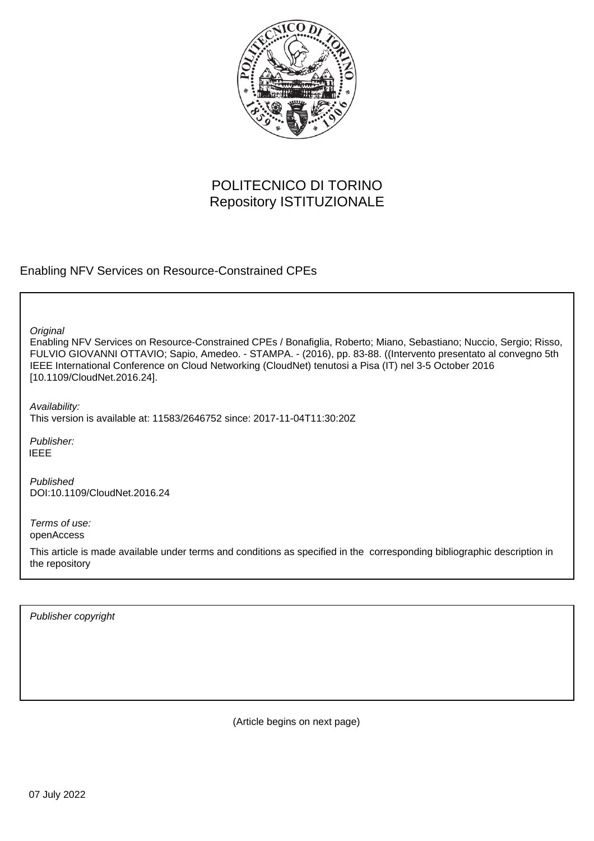

# POLITECNICO DI TORINO Repository ISTITUZIONALE

Enabling NFV Services on Resource-Constrained CPEs

**Original** 

Enabling NFV Services on Resource-Constrained CPEs / Bonafiglia, Roberto; Miano, Sebastiano; Nuccio, Sergio; Risso, FULVIO GIOVANNI OTTAVIO; Sapio, Amedeo. - STAMPA. - (2016), pp. 83-88. ((Intervento presentato al convegno 5th IEEE International Conference on Cloud Networking (CloudNet) tenutosi a Pisa (IT) nel 3-5 October 2016 [10.1109/CloudNet.2016.24].

Availability: This version is available at: 11583/2646752 since: 2017-11-04T11:30:20Z

Publisher: IEEE

Published DOI:10.1109/CloudNet.2016.24

Terms of use: openAccess

This article is made available under terms and conditions as specified in the corresponding bibliographic description in the repository

Publisher copyright

(Article begins on next page)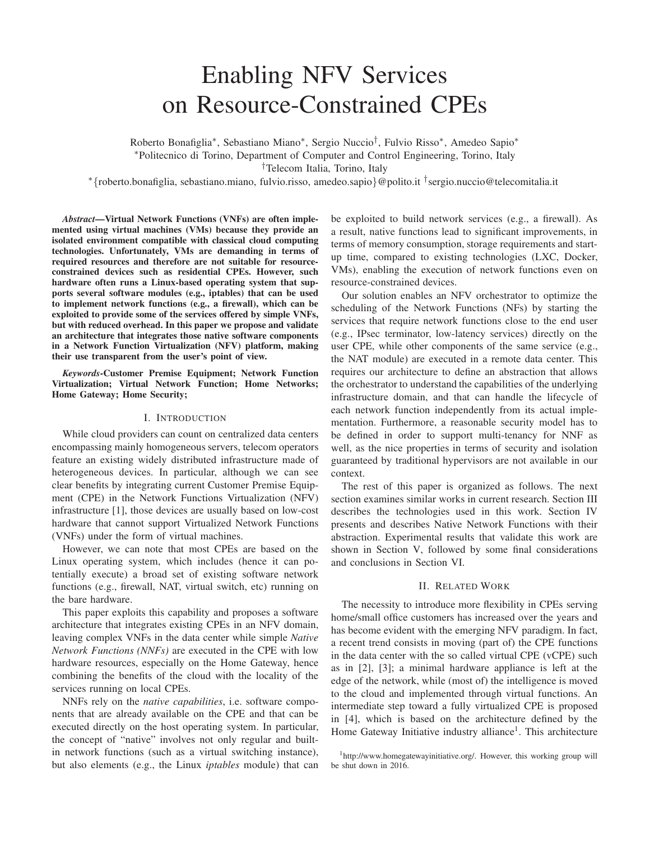# Enabling NFV Services on Resource-Constrained CPEs

Roberto Bonafiglia<sup>∗</sup> , Sebastiano Miano<sup>∗</sup> , Sergio Nuccio† , Fulvio Risso<sup>∗</sup> , Amedeo Sapio<sup>∗</sup> <sup>∗</sup>Politecnico di Torino, Department of Computer and Control Engineering, Torino, Italy †Telecom Italia, Torino, Italy

<sup>∗</sup>{roberto.bonafiglia, sebastiano.miano, fulvio.risso, amedeo.sapio}@polito.it † sergio.nuccio@telecomitalia.it

*Abstract*—Virtual Network Functions (VNFs) are often implemented using virtual machines (VMs) because they provide an isolated environment compatible with classical cloud computing technologies. Unfortunately, VMs are demanding in terms of required resources and therefore are not suitable for resourceconstrained devices such as residential CPEs. However, such hardware often runs a Linux-based operating system that supports several software modules (e.g., iptables) that can be used to implement network functions (e.g., a firewall), which can be exploited to provide some of the services offered by simple VNFs, but with reduced overhead. In this paper we propose and validate an architecture that integrates those native software components in a Network Function Virtualization (NFV) platform, making their use transparent from the user's point of view.

*Keywords*-Customer Premise Equipment; Network Function Virtualization; Virtual Network Function; Home Networks; Home Gateway; Home Security;

#### I. INTRODUCTION

While cloud providers can count on centralized data centers encompassing mainly homogeneous servers, telecom operators feature an existing widely distributed infrastructure made of heterogeneous devices. In particular, although we can see clear benefits by integrating current Customer Premise Equipment (CPE) in the Network Functions Virtualization (NFV) infrastructure [1], those devices are usually based on low-cost hardware that cannot support Virtualized Network Functions (VNFs) under the form of virtual machines.

However, we can note that most CPEs are based on the Linux operating system, which includes (hence it can potentially execute) a broad set of existing software network functions (e.g., firewall, NAT, virtual switch, etc) running on the bare hardware.

This paper exploits this capability and proposes a software architecture that integrates existing CPEs in an NFV domain, leaving complex VNFs in the data center while simple *Native Network Functions (NNFs)* are executed in the CPE with low hardware resources, especially on the Home Gateway, hence combining the benefits of the cloud with the locality of the services running on local CPEs.

NNFs rely on the *native capabilities*, i.e. software components that are already available on the CPE and that can be executed directly on the host operating system. In particular, the concept of "native" involves not only regular and builtin network functions (such as a virtual switching instance), but also elements (e.g., the Linux *iptables* module) that can

be exploited to build network services (e.g., a firewall). As a result, native functions lead to significant improvements, in terms of memory consumption, storage requirements and startup time, compared to existing technologies (LXC, Docker, VMs), enabling the execution of network functions even on resource-constrained devices.

Our solution enables an NFV orchestrator to optimize the scheduling of the Network Functions (NFs) by starting the services that require network functions close to the end user (e.g., IPsec terminator, low-latency services) directly on the user CPE, while other components of the same service (e.g., the NAT module) are executed in a remote data center. This requires our architecture to define an abstraction that allows the orchestrator to understand the capabilities of the underlying infrastructure domain, and that can handle the lifecycle of each network function independently from its actual implementation. Furthermore, a reasonable security model has to be defined in order to support multi-tenancy for NNF as well, as the nice properties in terms of security and isolation guaranteed by traditional hypervisors are not available in our context.

The rest of this paper is organized as follows. The next section examines similar works in current research. Section III describes the technologies used in this work. Section IV presents and describes Native Network Functions with their abstraction. Experimental results that validate this work are shown in Section V, followed by some final considerations and conclusions in Section VI.

#### II. RELATED WORK

The necessity to introduce more flexibility in CPEs serving home/small office customers has increased over the years and has become evident with the emerging NFV paradigm. In fact, a recent trend consists in moving (part of) the CPE functions in the data center with the so called virtual CPE (vCPE) such as in [2], [3]; a minimal hardware appliance is left at the edge of the network, while (most of) the intelligence is moved to the cloud and implemented through virtual functions. An intermediate step toward a fully virtualized CPE is proposed in [4], which is based on the architecture defined by the Home Gateway Initiative industry alliance<sup>1</sup>. This architecture

<sup>1</sup>http://www.homegatewayinitiative.org/. However, this working group will be shut down in 2016.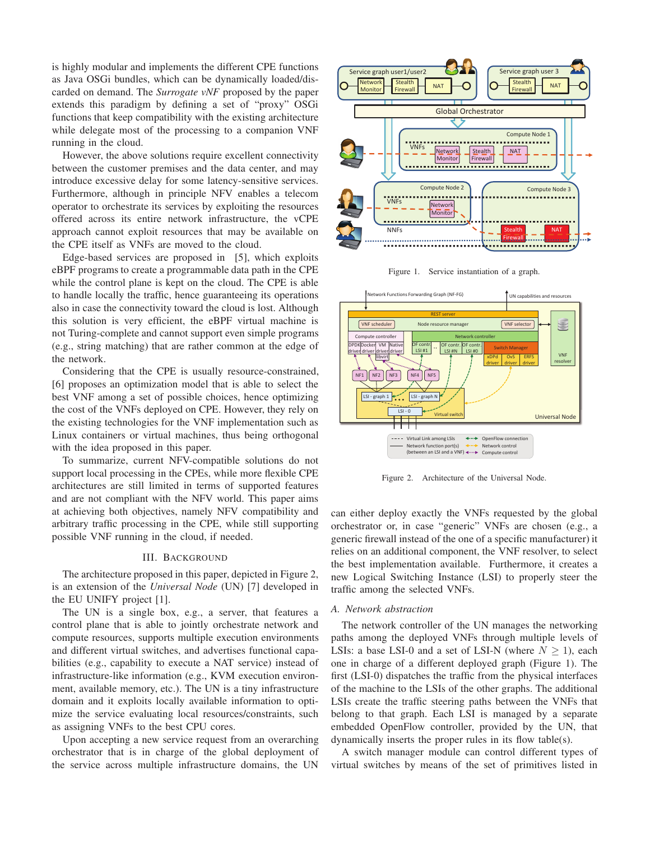is highly modular and implements the different CPE functions as Java OSGi bundles, which can be dynamically loaded/discarded on demand. The *Surrogate vNF* proposed by the paper extends this paradigm by defining a set of "proxy" OSGi functions that keep compatibility with the existing architecture while delegate most of the processing to a companion VNF running in the cloud.

However, the above solutions require excellent connectivity between the customer premises and the data center, and may introduce excessive delay for some latency-sensitive services. Furthermore, although in principle NFV enables a telecom operator to orchestrate its services by exploiting the resources offered across its entire network infrastructure, the vCPE approach cannot exploit resources that may be available on the CPE itself as VNFs are moved to the cloud.

Edge-based services are proposed in [5], which exploits eBPF programs to create a programmable data path in the CPE while the control plane is kept on the cloud. The CPE is able to handle locally the traffic, hence guaranteeing its operations also in case the connectivity toward the cloud is lost. Although this solution is very efficient, the eBPF virtual machine is not Turing-complete and cannot support even simple programs (e.g., string matching) that are rather common at the edge of the network.

Considering that the CPE is usually resource-constrained, [6] proposes an optimization model that is able to select the best VNF among a set of possible choices, hence optimizing the cost of the VNFs deployed on CPE. However, they rely on the existing technologies for the VNF implementation such as Linux containers or virtual machines, thus being orthogonal with the idea proposed in this paper.

To summarize, current NFV-compatible solutions do not support local processing in the CPEs, while more flexible CPE architectures are still limited in terms of supported features and are not compliant with the NFV world. This paper aims at achieving both objectives, namely NFV compatibility and arbitrary traffic processing in the CPE, while still supporting possible VNF running in the cloud, if needed.

#### III. BACKGROUND

The architecture proposed in this paper, depicted in Figure 2, is an extension of the *Universal Node* (UN) [7] developed in the EU UNIFY project [1].

The UN is a single box, e.g., a server, that features a control plane that is able to jointly orchestrate network and compute resources, supports multiple execution environments and different virtual switches, and advertises functional capabilities (e.g., capability to execute a NAT service) instead of infrastructure-like information (e.g., KVM execution environment, available memory, etc.). The UN is a tiny infrastructure domain and it exploits locally available information to optimize the service evaluating local resources/constraints, such as assigning VNFs to the best CPU cores.

Upon accepting a new service request from an overarching orchestrator that is in charge of the global deployment of the service across multiple infrastructure domains, the UN



Figure 1. Service instantiation of a graph.



Figure 2. Architecture of the Universal Node.

can either deploy exactly the VNFs requested by the global orchestrator or, in case "generic" VNFs are chosen (e.g., a generic firewall instead of the one of a specific manufacturer) it relies on an additional component, the VNF resolver, to select the best implementation available. Furthermore, it creates a new Logical Switching Instance (LSI) to properly steer the traffic among the selected VNFs.

### *A. Network abstraction*

The network controller of the UN manages the networking paths among the deployed VNFs through multiple levels of LSIs: a base LSI-0 and a set of LSI-N (where  $N > 1$ ), each one in charge of a different deployed graph (Figure 1). The first (LSI-0) dispatches the traffic from the physical interfaces of the machine to the LSIs of the other graphs. The additional LSIs create the traffic steering paths between the VNFs that belong to that graph. Each LSI is managed by a separate embedded OpenFlow controller, provided by the UN, that dynamically inserts the proper rules in its flow table(s).

A switch manager module can control different types of virtual switches by means of the set of primitives listed in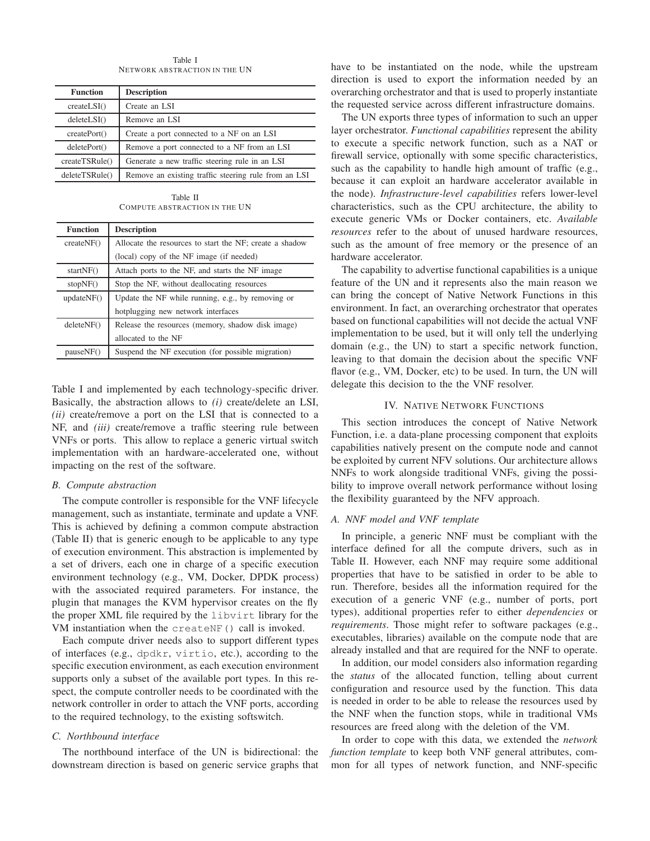Table I NETWORK ABSTRACTION IN THE UN

| <b>Function</b> | <b>Description</b>                                   |
|-----------------|------------------------------------------------------|
| createLSI()     | Create an LSI                                        |
| deleteLSI()     | Remove an LSI                                        |
| createPort()    | Create a port connected to a NF on an LSI            |
| deletePort()    | Remove a port connected to a NF from an LSI          |
| createTSRule()  | Generate a new traffic steering rule in an LSI       |
| deleteTSRule()  | Remove an existing traffic steering rule from an LSI |

Table II COMPUTE ABSTRACTION IN THE UN

| <b>Function</b> | <b>Description</b>                                      |  |  |
|-----------------|---------------------------------------------------------|--|--|
| createNF()      | Allocate the resources to start the NF; create a shadow |  |  |
|                 | (local) copy of the NF image (if needed)                |  |  |
| startNF()       | Attach ports to the NF, and starts the NF image         |  |  |
| stopNF()        | Stop the NF, without deallocating resources             |  |  |
| updateNF()      | Update the NF while running, e.g., by removing or       |  |  |
|                 | hotplugging new network interfaces                      |  |  |
| deleteNF()      | Release the resources (memory, shadow disk image)       |  |  |
|                 | allocated to the NF                                     |  |  |
| pauseNF()       | Suspend the NF execution (for possible migration)       |  |  |

Table I and implemented by each technology-specific driver. Basically, the abstraction allows to *(i)* create/delete an LSI, *(ii)* create/remove a port on the LSI that is connected to a NF, and *(iii)* create/remove a traffic steering rule between VNFs or ports. This allow to replace a generic virtual switch implementation with an hardware-accelerated one, without impacting on the rest of the software.

# *B. Compute abstraction*

The compute controller is responsible for the VNF lifecycle management, such as instantiate, terminate and update a VNF. This is achieved by defining a common compute abstraction (Table II) that is generic enough to be applicable to any type of execution environment. This abstraction is implemented by a set of drivers, each one in charge of a specific execution environment technology (e.g., VM, Docker, DPDK process) with the associated required parameters. For instance, the plugin that manages the KVM hypervisor creates on the fly the proper XML file required by the libvirt library for the VM instantiation when the createNF() call is invoked.

Each compute driver needs also to support different types of interfaces (e.g., dpdkr, virtio, etc.), according to the specific execution environment, as each execution environment supports only a subset of the available port types. In this respect, the compute controller needs to be coordinated with the network controller in order to attach the VNF ports, according to the required technology, to the existing softswitch.

### *C. Northbound interface*

The northbound interface of the UN is bidirectional: the downstream direction is based on generic service graphs that have to be instantiated on the node, while the upstream direction is used to export the information needed by an overarching orchestrator and that is used to properly instantiate the requested service across different infrastructure domains.

The UN exports three types of information to such an upper layer orchestrator. *Functional capabilities* represent the ability to execute a specific network function, such as a NAT or firewall service, optionally with some specific characteristics, such as the capability to handle high amount of traffic (e.g., because it can exploit an hardware accelerator available in the node). *Infrastructure-level capabilities* refers lower-level characteristics, such as the CPU architecture, the ability to execute generic VMs or Docker containers, etc. *Available resources* refer to the about of unused hardware resources, such as the amount of free memory or the presence of an hardware accelerator.

The capability to advertise functional capabilities is a unique feature of the UN and it represents also the main reason we can bring the concept of Native Network Functions in this environment. In fact, an overarching orchestrator that operates based on functional capabilities will not decide the actual VNF implementation to be used, but it will only tell the underlying domain (e.g., the UN) to start a specific network function, leaving to that domain the decision about the specific VNF flavor (e.g., VM, Docker, etc) to be used. In turn, the UN will delegate this decision to the the VNF resolver.

# IV. NATIVE NETWORK FUNCTIONS

This section introduces the concept of Native Network Function, i.e. a data-plane processing component that exploits capabilities natively present on the compute node and cannot be exploited by current NFV solutions. Our architecture allows NNFs to work alongside traditional VNFs, giving the possibility to improve overall network performance without losing the flexibility guaranteed by the NFV approach.

# *A. NNF model and VNF template*

In principle, a generic NNF must be compliant with the interface defined for all the compute drivers, such as in Table II. However, each NNF may require some additional properties that have to be satisfied in order to be able to run. Therefore, besides all the information required for the execution of a generic VNF (e.g., number of ports, port types), additional properties refer to either *dependencies* or *requirements*. Those might refer to software packages (e.g., executables, libraries) available on the compute node that are already installed and that are required for the NNF to operate.

In addition, our model considers also information regarding the *status* of the allocated function, telling about current configuration and resource used by the function. This data is needed in order to be able to release the resources used by the NNF when the function stops, while in traditional VMs resources are freed along with the deletion of the VM.

In order to cope with this data, we extended the *network function template* to keep both VNF general attributes, common for all types of network function, and NNF-specific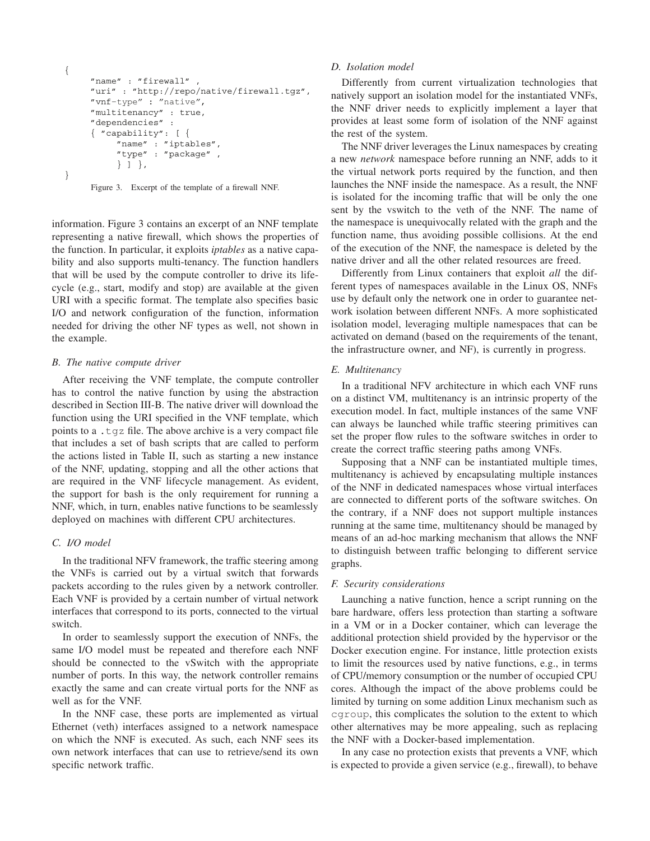```
{
     "name" : "firewall" ,
     "uri" : "http://repo/native/firewall.tgz",
     "vnf-type" : "native",
     "multitenancy" : true,
     "dependencies" : 
       { "capability": [ {
          "name" : "iptables",
          "type" : "package" ,
          \} ] \},
}
```
Figure 3. Excerpt of the template of a firewall NNF.

information. Figure 3 contains an excerpt of an NNF template representing a native firewall, which shows the properties of the function. In particular, it exploits *iptables* as a native capability and also supports multi-tenancy. The function handlers that will be used by the compute controller to drive its lifecycle (e.g., start, modify and stop) are available at the given URI with a specific format. The template also specifies basic I/O and network configuration of the function, information needed for driving the other NF types as well, not shown in the example.

# *B. The native compute driver*

After receiving the VNF template, the compute controller has to control the native function by using the abstraction described in Section III-B. The native driver will download the function using the URI specified in the VNF template, which points to a .tgz file. The above archive is a very compact file that includes a set of bash scripts that are called to perform the actions listed in Table II, such as starting a new instance of the NNF, updating, stopping and all the other actions that are required in the VNF lifecycle management. As evident, the support for bash is the only requirement for running a NNF, which, in turn, enables native functions to be seamlessly deployed on machines with different CPU architectures.

# *C. I/O model*

In the traditional NFV framework, the traffic steering among the VNFs is carried out by a virtual switch that forwards packets according to the rules given by a network controller. Each VNF is provided by a certain number of virtual network interfaces that correspond to its ports, connected to the virtual switch.

In order to seamlessly support the execution of NNFs, the same I/O model must be repeated and therefore each NNF should be connected to the vSwitch with the appropriate number of ports. In this way, the network controller remains exactly the same and can create virtual ports for the NNF as well as for the VNF.

In the NNF case, these ports are implemented as virtual Ethernet (veth) interfaces assigned to a network namespace on which the NNF is executed. As such, each NNF sees its own network interfaces that can use to retrieve/send its own specific network traffic.

# *D. Isolation model*

Differently from current virtualization technologies that natively support an isolation model for the instantiated VNFs, the NNF driver needs to explicitly implement a layer that provides at least some form of isolation of the NNF against the rest of the system.

The NNF driver leverages the Linux namespaces by creating a new *network* namespace before running an NNF, adds to it the virtual network ports required by the function, and then launches the NNF inside the namespace. As a result, the NNF is isolated for the incoming traffic that will be only the one sent by the vswitch to the veth of the NNF. The name of the namespace is unequivocally related with the graph and the function name, thus avoiding possible collisions. At the end of the execution of the NNF, the namespace is deleted by the native driver and all the other related resources are freed.

Differently from Linux containers that exploit *all* the different types of namespaces available in the Linux OS, NNFs use by default only the network one in order to guarantee network isolation between different NNFs. A more sophisticated isolation model, leveraging multiple namespaces that can be activated on demand (based on the requirements of the tenant, the infrastructure owner, and NF), is currently in progress.

# *E. Multitenancy*

In a traditional NFV architecture in which each VNF runs on a distinct VM, multitenancy is an intrinsic property of the execution model. In fact, multiple instances of the same VNF can always be launched while traffic steering primitives can set the proper flow rules to the software switches in order to create the correct traffic steering paths among VNFs.

Supposing that a NNF can be instantiated multiple times, multitenancy is achieved by encapsulating multiple instances of the NNF in dedicated namespaces whose virtual interfaces are connected to different ports of the software switches. On the contrary, if a NNF does not support multiple instances running at the same time, multitenancy should be managed by means of an ad-hoc marking mechanism that allows the NNF to distinguish between traffic belonging to different service graphs.

# *F. Security considerations*

Launching a native function, hence a script running on the bare hardware, offers less protection than starting a software in a VM or in a Docker container, which can leverage the additional protection shield provided by the hypervisor or the Docker execution engine. For instance, little protection exists to limit the resources used by native functions, e.g., in terms of CPU/memory consumption or the number of occupied CPU cores. Although the impact of the above problems could be limited by turning on some addition Linux mechanism such as cgroup, this complicates the solution to the extent to which other alternatives may be more appealing, such as replacing the NNF with a Docker-based implementation.

In any case no protection exists that prevents a VNF, which is expected to provide a given service (e.g., firewall), to behave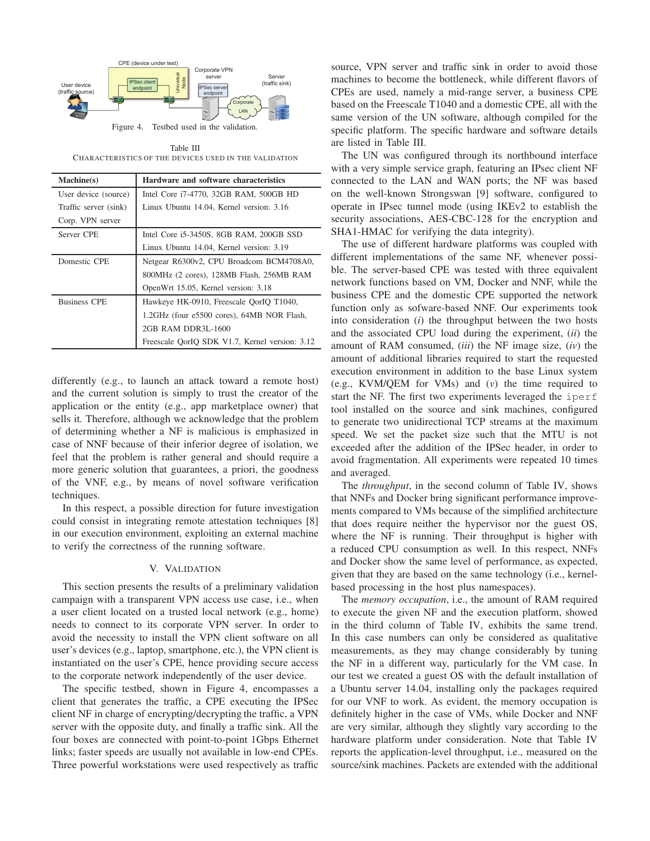

Table III CHARACTERISTICS OF THE DEVICES USED IN THE VALIDATION

| Machine(s)            | Hardware and software characteristics          |  |  |
|-----------------------|------------------------------------------------|--|--|
| User device (source)  | Intel Core i7-4770, 32GB RAM, 500GB HD         |  |  |
| Traffic server (sink) | Linux Ubuntu 14.04, Kernel version: 3.16       |  |  |
| Corp. VPN server      |                                                |  |  |
| Server CPE            | Intel Core i5-3450S, 8GB RAM, 200GB SSD        |  |  |
|                       | Linux Ubuntu 14.04, Kernel version: 3.19       |  |  |
| Domestic CPE          | Netgear R6300v2, CPU Broadcom BCM4708A0,       |  |  |
|                       | 800MHz (2 cores), 128MB Flash, 256MB RAM       |  |  |
|                       | OpenWrt 15.05, Kernel version: 3.18            |  |  |
| <b>Business CPE</b>   | Hawkeye HK-0910, Freescale OorIO T1040,        |  |  |
|                       | 1.2GHz (four e5500 cores), 64MB NOR Flash,     |  |  |
|                       | 2GB RAM DDR3L-1600                             |  |  |
|                       | Freescale OorIO SDK V1.7, Kernel version: 3.12 |  |  |

differently (e.g., to launch an attack toward a remote host) and the current solution is simply to trust the creator of the application or the entity (e.g., app marketplace owner) that sells it. Therefore, although we acknowledge that the problem of determining whether a NF is malicious is emphasized in case of NNF because of their inferior degree of isolation, we feel that the problem is rather general and should require a more generic solution that guarantees, a priori, the goodness of the VNF, e.g., by means of novel software verification techniques.

In this respect, a possible direction for future investigation could consist in integrating remote attestation techniques [8] in our execution environment, exploiting an external machine to verify the correctness of the running software.

# V. VALIDATION

This section presents the results of a preliminary validation campaign with a transparent VPN access use case, i.e., when a user client located on a trusted local network (e.g., home) needs to connect to its corporate VPN server. In order to avoid the necessity to install the VPN client software on all user's devices (e.g., laptop, smartphone, etc.), the VPN client is instantiated on the user's CPE, hence providing secure access to the corporate network independently of the user device.

The specific testbed, shown in Figure 4, encompasses a client that generates the traffic, a CPE executing the IPSec client NF in charge of encrypting/decrypting the traffic, a VPN server with the opposite duty, and finally a traffic sink. All the four boxes are connected with point-to-point 1Gbps Ethernet links; faster speeds are usually not available in low-end CPEs. Three powerful workstations were used respectively as traffic

source, VPN server and traffic sink in order to avoid those machines to become the bottleneck, while different flavors of CPEs are used, namely a mid-range server, a business CPE based on the Freescale T1040 and a domestic CPE, all with the same version of the UN software, although compiled for the specific platform. The specific hardware and software details are listed in Table III.

The UN was configured through its northbound interface with a very simple service graph, featuring an IPsec client NF connected to the LAN and WAN ports; the NF was based on the well-known Strongswan [9] software, configured to operate in IPsec tunnel mode (using IKEv2 to establish the security associations, AES-CBC-128 for the encryption and SHA1-HMAC for verifying the data integrity).

The use of different hardware platforms was coupled with different implementations of the same NF, whenever possible. The server-based CPE was tested with three equivalent network functions based on VM, Docker and NNF, while the business CPE and the domestic CPE supported the network function only as sofware-based NNF. Our experiments took into consideration (*i*) the throughput between the two hosts and the associated CPU load during the experiment, (*ii*) the amount of RAM consumed, (*iii*) the NF image size, (*iv*) the amount of additional libraries required to start the requested execution environment in addition to the base Linux system (e.g., KVM/QEM for VMs) and (*v*) the time required to start the NF. The first two experiments leveraged the iperf tool installed on the source and sink machines, configured to generate two unidirectional TCP streams at the maximum speed. We set the packet size such that the MTU is not exceeded after the addition of the IPSec header, in order to avoid fragmentation. All experiments were repeated 10 times and averaged.

The *throughput*, in the second column of Table IV, shows that NNFs and Docker bring significant performance improvements compared to VMs because of the simplified architecture that does require neither the hypervisor nor the guest OS, where the NF is running. Their throughput is higher with a reduced CPU consumption as well. In this respect, NNFs and Docker show the same level of performance, as expected, given that they are based on the same technology (i.e., kernelbased processing in the host plus namespaces).

The *memory occupation*, i.e., the amount of RAM required to execute the given NF and the execution platform, showed in the third column of Table IV, exhibits the same trend. In this case numbers can only be considered as qualitative measurements, as they may change considerably by tuning the NF in a different way, particularly for the VM case. In our test we created a guest OS with the default installation of a Ubuntu server 14.04, installing only the packages required for our VNF to work. As evident, the memory occupation is definitely higher in the case of VMs, while Docker and NNF are very similar, although they slightly vary according to the hardware platform under consideration. Note that Table IV reports the application-level throughput, i.e., measured on the source/sink machines. Packets are extended with the additional